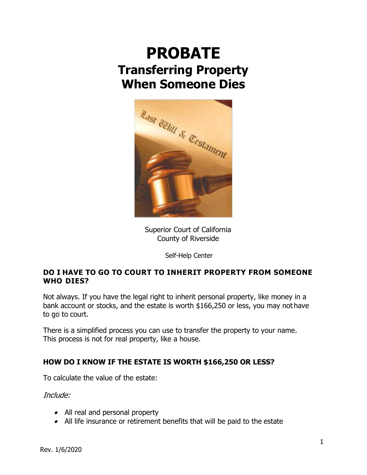# **PROBATE Transferring Property When Someone Dies**



Superior Court of California County of Riverside

Self-Help Center

# **DO I HAVE TO GO TO COURT TO INHERIT PROPERTY FROM SOMEONE WHO DIES?**

Not always. If you have the legal right to inherit personal property, like money in a bank account or stocks, and the estate is worth \$166,250 or less, you may not have to go to court.

There is a simplified process you can use to transfer the property to your name. This process is not for real property, like a house.

# **HOW DO I KNOW IF THE ESTATE IS WORTH \$166,250 OR LESS?**

To calculate the value of the estate:

Include:

- All real and personal property
- All life insurance or retirement benefits that will be paid to the estate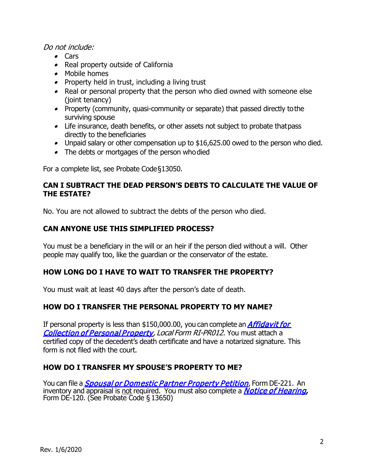#### Do not include:

- Cars
- Real property outside of California
- Mobile homes
- Property held in trust, including a living trust
- Real or personal property that the person who died owned with someone else (joint tenancy)
- Property (community, quasi-community or separate) that passed directly tothe surviving spouse
- Life insurance, death benefits, or other assets not subject to probate thatpass directly to the beneficiaries
- Unpaid salary or other compensation up to \$16,625.00 owed to the person who died.
- The debts or mortgages of the person whodied

For a complete list, see Probate Code§13050.

## **CAN I SUBTRACT THE DEAD PERSON'S DEBTS TO CALCULATE THE VALUE OF THE ESTATE?**

No. You are not allowed to subtract the debts of the person who died.

## **CAN ANYONE USE THIS SIMPLIFIED PROCESS?**

You must be a beneficiary in the will or an heir if the person died without a will. Other people may qualify too, like the guardian or the conservator of the estate.

# **HOW LONG DO I HAVE TO WAIT TO TRANSFER THE PROPERTY?**

You must wait at least 40 days after the person's date of death.

## **HOW DO I TRANSFER THE PERSONAL PROPERTY TO MY NAME?**

If personal property is less than \$150,000.00, you can complete an *Affidavit for* [Collection of Personal Property,](http://riverside.courts.ca.gov/localfrms/ri-pr012.pdf) Local Form RI-PR012. You must attach a certified copy of the decedent's death certificate and have a notarized signature. This form is not filed with the court.

## **HOW DO I TRANSFER MY SPOUSE'S PROPERTY TO ME?**

You can file a *[Spousal or Domestic Partner Property Petition](http://www.courts.ca.gov/de221.pdf),* Form DE-221. An . inventory and appraisal is <u>not</u> required. You must also complete a *[Notice of Hearing](http://www.courts.ca.gov/de120.pdf),*<br>Form DE-120. (See Probate Code § 13650)